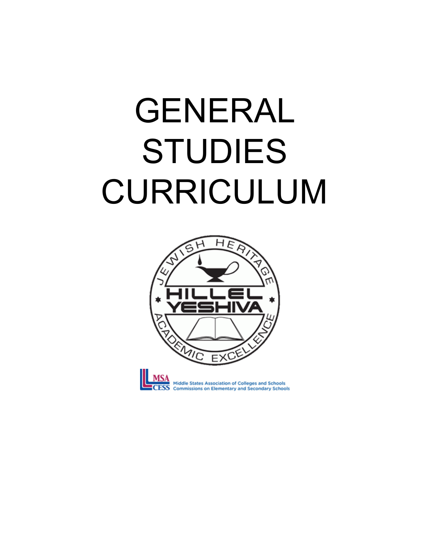# GENERAL STUDIES CURRICULUM

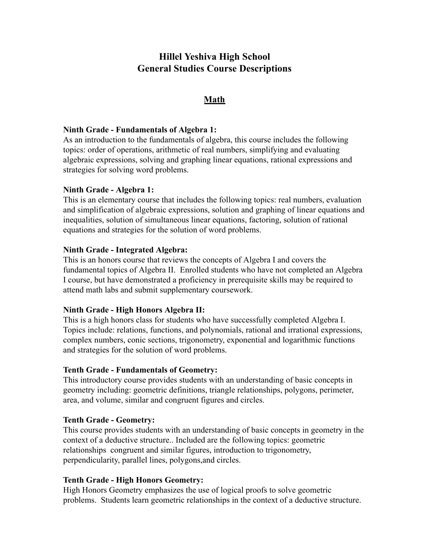# **Hillel Yeshiva High School General Studies Course Descriptions**

# **Math**

#### **Ninth Grade - Fundamentals of Algebra 1:**

As an introduction to the fundamentals of algebra, this course includes the following topics: order of operations, arithmetic of real numbers, simplifying and evaluating algebraic expressions, solving and graphing linear equations, rational expressions and strategies for solving word problems.

#### **Ninth Grade - Algebra 1:**

This is an elementary course that includes the following topics: real numbers, evaluation and simplification of algebraic expressions, solution and graphing of linear equations and inequalities, solution of simultaneous linear equations, factoring, solution of rational equations and strategies for the solution of word problems.

#### **Ninth Grade - Integrated Algebra:**

This is an honors course that reviews the concepts of Algebra I and covers the fundamental topics of Algebra II. Enrolled students who have not completed an Algebra I course, but have demonstrated a proficiency in prerequisite skills may be required to attend math labs and submit supplementary coursework.

#### **Ninth Grade - High Honors Algebra II:**

This is a high honors class for students who have successfully completed Algebra I. Topics include: relations, functions, and polynomials, rational and irrational expressions, complex numbers, conic sections, trigonometry, exponential and logarithmic functions and strategies for the solution of word problems.

#### **Tenth Grade - Fundamentals of Geometry:**

This introductory course provides students with an understanding of basic concepts in geometry including: geometric definitions, triangle relationships, polygons, perimeter, area, and volume, similar and congruent figures and circles.

#### **Tenth Grade - Geometry:**

This course provides students with an understanding of basic concepts in geometry in the context of a deductive structure.. Included are the following topics: geometric relationships congruent and similar figures, introduction to trigonometry, perpendicularity, parallel lines, polygons,and circles.

#### **Tenth Grade - High Honors Geometry:**

High Honors Geometry emphasizes the use of logical proofs to solve geometric problems. Students learn geometric relationships in the context of a deductive structure.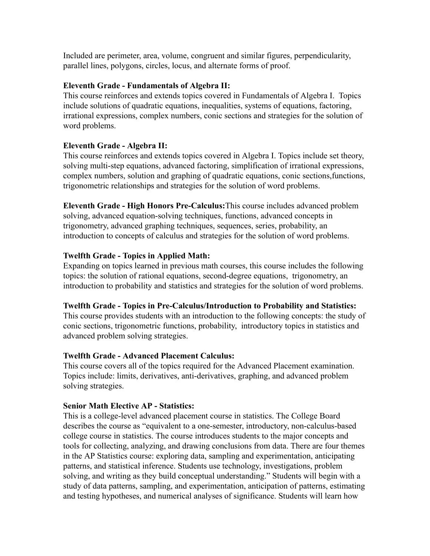Included are perimeter, area, volume, congruent and similar figures, perpendicularity, parallel lines, polygons, circles, locus, and alternate forms of proof.

## **Eleventh Grade - Fundamentals of Algebra II:**

This course reinforces and extends topics covered in Fundamentals of Algebra I. Topics include solutions of quadratic equations, inequalities, systems of equations, factoring, irrational expressions, complex numbers, conic sections and strategies for the solution of word problems.

# **Eleventh Grade - Algebra II:**

This course reinforces and extends topics covered in Algebra I. Topics include set theory, solving multi-step equations, advanced factoring, simplification of irrational expressions, complex numbers, solution and graphing of quadratic equations, conic sections,functions, trigonometric relationships and strategies for the solution of word problems.

**Eleventh Grade - High Honors Pre-Calculus:** This course includes advanced problem solving, advanced equation-solving techniques, functions, advanced concepts in trigonometry, advanced graphing techniques, sequences, series, probability, an introduction to concepts of calculus and strategies for the solution of word problems.

# **Twelfth Grade - Topics in Applied Math:**

Expanding on topics learned in previous math courses, this course includes the following topics: the solution of rational equations, second-degree equations, trigonometry, an introduction to probability and statistics and strategies for the solution of word problems.

#### **Twelfth Grade - Topics in Pre-Calculus/Introduction to Probability and Statistics:**

This course provides students with an introduction to the following concepts: the study of conic sections, trigonometric functions, probability, introductory topics in statistics and advanced problem solving strategies.

# **Twelfth Grade - Advanced Placement Calculus:**

This course covers all of the topics required for the Advanced Placement examination. Topics include: limits, derivatives, anti-derivatives, graphing, and advanced problem solving strategies.

#### **Senior Math Elective AP - Statistics:**

This is a college-level advanced placement course in statistics. The College Board describes the course as "equivalent to a one-semester, introductory, non-calculus-based college course in statistics. The course introduces students to the major concepts and tools for collecting, analyzing, and drawing conclusions from data. There are four themes in the AP Statistics course: exploring data, sampling and experimentation, anticipating patterns, and statistical inference. Students use technology, investigations, problem solving, and writing as they build conceptual understanding." Students will begin with a study of data patterns, sampling, and experimentation, anticipation of patterns, estimating and testing hypotheses, and numerical analyses of significance. Students will learn how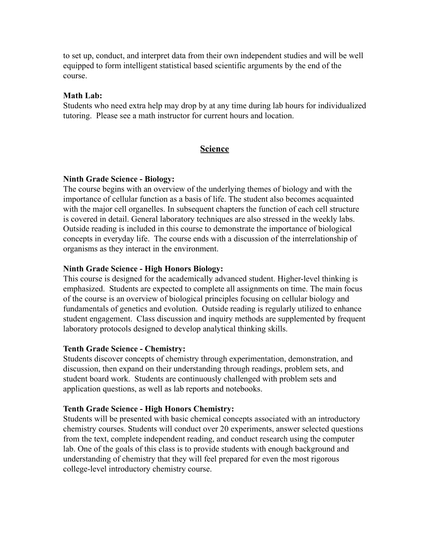to set up, conduct, and interpret data from their own independent studies and will be well equipped to form intelligent statistical based scientific arguments by the end of the course.

#### **Math Lab:**

Students who need extra help may drop by at any time during lab hours for individualized tutoring. Please see a math instructor for current hours and location.

## **Science**

#### **Ninth Grade Science - Biology:**

The course begins with an overview of the underlying themes of biology and with the importance of cellular function as a basis of life. The student also becomes acquainted with the major cell organelles. In subsequent chapters the function of each cell structure is covered in detail. General laboratory techniques are also stressed in the weekly labs. Outside reading is included in this course to demonstrate the importance of biological concepts in everyday life. The course ends with a discussion of the interrelationship of organisms as they interact in the environment.

#### **Ninth Grade Science - High Honors Biology:**

This course is designed for the academically advanced student. Higher-level thinking is emphasized. Students are expected to complete all assignments on time. The main focus of the course is an overview of biological principles focusing on cellular biology and fundamentals of genetics and evolution. Outside reading is regularly utilized to enhance student engagement. Class discussion and inquiry methods are supplemented by frequent laboratory protocols designed to develop analytical thinking skills.

#### **Tenth Grade Science - Chemistry:**

Students discover concepts of chemistry through experimentation, demonstration, and discussion, then expand on their understanding through readings, problem sets, and student board work. Students are continuously challenged with problem sets and application questions, as well as lab reports and notebooks.

#### **Tenth Grade Science - High Honors Chemistry:**

Students will be presented with basic chemical concepts associated with an introductory chemistry courses. Students will conduct over 20 experiments, answer selected questions from the text, complete independent reading, and conduct research using the computer lab. One of the goals of this class is to provide students with enough background and understanding of chemistry that they will feel prepared for even the most rigorous college-level introductory chemistry course.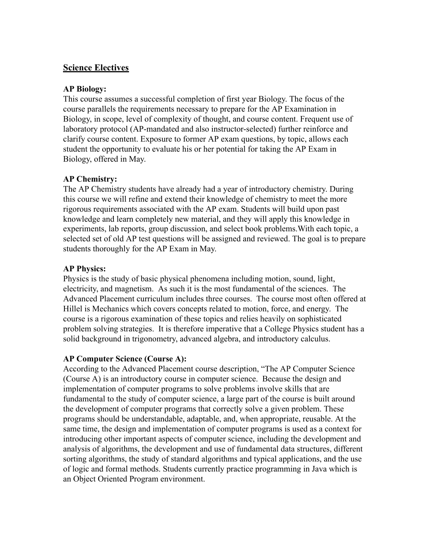# **Science Electives**

## **AP Biology:**

This course assumes a successful completion of first year Biology. The focus of the course parallels the requirements necessary to prepare for the AP Examination in Biology, in scope, level of complexity of thought, and course content. Frequent use of laboratory protocol (AP-mandated and also instructor-selected) further reinforce and clarify course content. Exposure to former AP exam questions, by topic, allows each student the opportunity to evaluate his or her potential for taking the AP Exam in Biology, offered in May.

## **AP Chemistry:**

The AP Chemistry students have already had a year of introductory chemistry. During this course we will refine and extend their knowledge of chemistry to meet the more rigorous requirements associated with the AP exam. Students will build upon past knowledge and learn completely new material, and they will apply this knowledge in experiments, lab reports, group discussion, and select book problems. With each topic, a selected set of old AP test questions will be assigned and reviewed. The goal is to prepare students thoroughly for the AP Exam in May.

## **AP Physics:**

Physics is the study of basic physical phenomena including motion, sound, light, electricity, and magnetism. As such it is the most fundamental of the sciences. The Advanced Placement curriculum includes three courses. The course most often offered at Hillel is Mechanics which covers concepts related to motion, force, and energy. The course is a rigorous examination of these topics and relies heavily on sophisticated problem solving strategies. It is therefore imperative that a College Physics student has a solid background in trigonometry, advanced algebra, and introductory calculus.

#### **AP Computer Science (Course A):**

According to the Advanced Placement course description, "The AP Computer Science (Course A) is an introductory course in computer science. Because the design and implementation of computer programs to solve problems involve skills that are fundamental to the study of computer science, a large part of the course is built around the development of computer programs that correctly solve a given problem. These programs should be understandable, adaptable, and, when appropriate, reusable. At the same time, the design and implementation of computer programs is used as a context for introducing other important aspects of computer science, including the development and analysis of algorithms, the development and use of fundamental data structures, different sorting algorithms, the study of standard algorithms and typical applications, and the use of logic and formal methods. Students currently practice programming in Java which is an Object Oriented Program environment.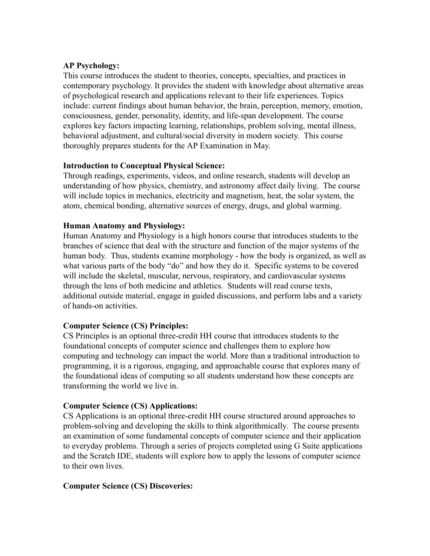# **AP Psychology:**

This course introduces the student to theories, concepts, specialties, and practices in contemporary psychology. It provides the student with knowledge about alternative areas of psychological research and applications relevant to their life experiences. Topics include: current findings about human behavior, the brain, perception, memory, emotion, consciousness, gender, personality, identity, and life-span development. The course explores key factors impacting learning, relationships, problem solving, mental illness, behavioral adjustment, and cultural/social diversity in modern society. This course thoroughly prepares students for the AP Examination in May.

## **Introduction to Conceptual Physical Science:**

Through readings, experiments, videos, and online research, students will develop an understanding of how physics, chemistry, and astronomy affect daily living. The course will include topics in mechanics, electricity and magnetism, heat, the solar system, the atom, chemical bonding, alternative sources of energy, drugs, and global warming.

## **Human Anatomy and Physiology:**

Human Anatomy and Physiology is a high honors course that introduces students to the branches of science that deal with the structure and function of the major systems of the human body. Thus, students examine morphology - how the body is organized, as well as what various parts of the body "do" and how they do it. Specific systems to be covered will include the skeletal, muscular, nervous, respiratory, and cardiovascular systems through the lens of both medicine and athletics. Students will read course texts, additional outside material, engage in guided discussions, and perform labs and a variety of hands-on activities.

# **Computer Science (CS) Principles:**

CS Principles is an optional three-credit HH course that introduces students to the foundational concepts of computer science and challenges them to explore how computing and technology can impact the world. More than a traditional introduction to programming, it is a rigorous, engaging, and approachable course that explores many of the foundational ideas of computing so all students understand how these concepts are transforming the world we live in.

#### **Computer Science (CS) Applications:**

CS Applications is an optional three-credit HH course structured around approaches to problem-solving and developing the skills to think algorithmically. The course presents an examination of some fundamental concepts of computer science and their application to everyday problems. Through a series of projects completed using G Suite applications and the Scratch IDE, students will explore how to apply the lessons of computer science to their own lives.

# **Computer Science (CS) Discoveries:**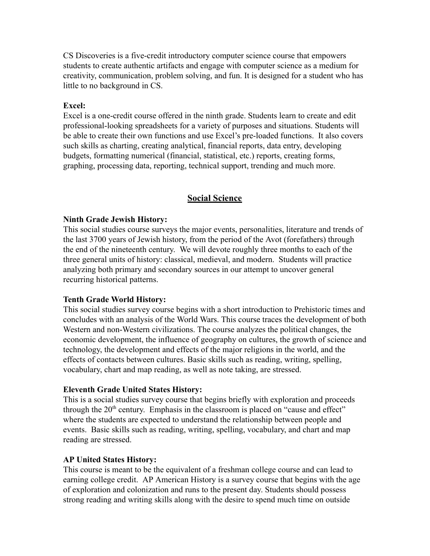CS Discoveries is a five-credit introductory computer science course that empowers students to create authentic artifacts and engage with computer science as a medium for creativity, communication, problem solving, and fun. It is designed for a student who has little to no background in CS.

#### **Excel:**

Excel is a one-credit course offered in the ninth grade. Students learn to create and edit professional-looking spreadsheets for a variety of purposes and situations. Students will be able to create their own functions and use Excel's pre-loaded functions. It also covers such skills as charting, creating analytical, financial reports, data entry, developing budgets, formatting numerical (financial, statistical, etc.) reports, creating forms, graphing, processing data, reporting, technical support, trending and much more.

# **Social Science**

#### **Ninth Grade Jewish History:**

This social studies course surveys the major events, personalities, literature and trends of the last 3700 years of Jewish history, from the period of the Avot (forefathers) through the end of the nineteenth century. We will devote roughly three months to each of the three general units of history: classical, medieval, and modern. Students will practice analyzing both primary and secondary sources in our attempt to uncover general recurring historical patterns.

#### **Tenth Grade World History:**

This social studies survey course begins with a short introduction to Prehistoric times and concludes with an analysis of the World Wars. This course traces the development of both Western and non-Western civilizations. The course analyzes the political changes, the economic development, the influence of geography on cultures, the growth of science and technology, the development and effects of the major religions in the world, and the effects of contacts between cultures. Basic skills such as reading, writing, spelling, vocabulary, chart and map reading, as well as note taking, are stressed.

#### **Eleventh Grade United States History:**

This is a social studies survey course that begins briefly with exploration and proceeds through the  $20<sup>th</sup>$  century. Emphasis in the classroom is placed on "cause and effect" where the students are expected to understand the relationship between people and events. Basic skills such as reading, writing, spelling, vocabulary, and chart and map reading are stressed.

#### **AP United States History:**

This course is meant to be the equivalent of a freshman college course and can lead to earning college credit. AP American History is a survey course that begins with the age of exploration and colonization and runs to the present day. Students should possess strong reading and writing skills along with the desire to spend much time on outside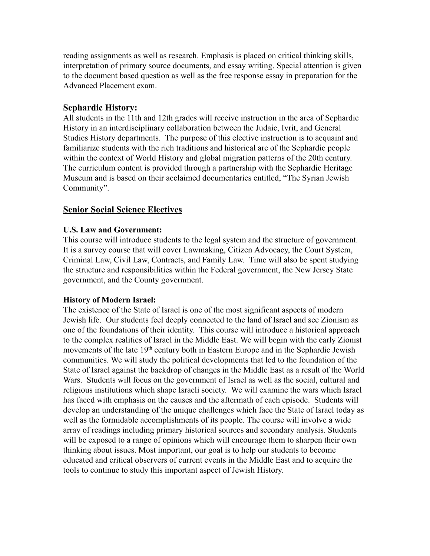reading assignments as well as research. Emphasis is placed on critical thinking skills, interpretation of primary source documents, and essay writing. Special attention is given to the document based question as well as the free response essay in preparation for the Advanced Placement exam.

# **Sephardic History:**

All students in the 11th and 12th grades will receive instruction in the area of Sephardic History in an interdisciplinary collaboration between the Judaic, Ivrit, and General Studies History departments. The purpose of this elective instruction is to acquaint and familiarize students with the rich traditions and historical arc of the Sephardic people within the context of World History and global migration patterns of the 20th century. The curriculum content is provided through a partnership with the Sephardic Heritage Museum and is based on their acclaimed documentaries entitled, "The Syrian Jewish Community".

# **Senior Social Science Electives**

# **U.S. Law and Government:**

This course will introduce students to the legal system and the structure of government. It is a survey course that will cover Lawmaking, Citizen Advocacy, the Court System, Criminal Law, Civil Law, Contracts, and Family Law. Time will also be spent studying the structure and responsibilities within the Federal government, the New Jersey State government, and the County government.

# **History of Modern Israel:**

The existence of the State of Israel is one of the most significant aspects of modern Jewish life. Our students feel deeply connected to the land of Israel and see Zionism as one of the foundations of their identity. This course will introduce a historical approach to the complex realities of Israel in the Middle East. We will begin with the early Zionist movements of the late 19<sup>th</sup> century both in Eastern Europe and in the Sephardic Jewish communities. We will study the political developments that led to the foundation of the State of Israel against the backdrop of changes in the Middle East as a result of the World Wars. Students will focus on the government of Israel as well as the social, cultural and religious institutions which shape Israeli society. We will examine the wars which Israel has faced with emphasis on the causes and the aftermath of each episode. Students will develop an understanding of the unique challenges which face the State of Israel today as well as the formidable accomplishments of its people. The course will involve a wide array of readings including primary historical sources and secondary analysis. Students will be exposed to a range of opinions which will encourage them to sharpen their own thinking about issues. Most important, our goal is to help our students to become educated and critical observers of current events in the Middle East and to acquire the tools to continue to study this important aspect of Jewish History.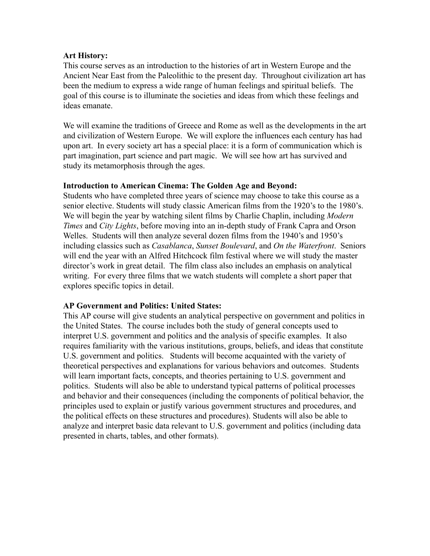#### **Art History:**

This course serves as an introduction to the histories of art in Western Europe and the Ancient Near East from the Paleolithic to the present day. Throughout civilization art has been the medium to express a wide range of human feelings and spiritual beliefs. The goal of this course is to illuminate the societies and ideas from which these feelings and ideas emanate.

We will examine the traditions of Greece and Rome as well as the developments in the art and civilization of Western Europe. We will explore the influences each century has had upon art. In every society art has a special place: it is a form of communication which is part imagination, part science and part magic. We will see how art has survived and study its metamorphosis through the ages.

## **Introduction to American Cinema: The Golden Age and Beyond:**

Students who have completed three years of science may choose to take this course as a senior elective. Students will study classic American films from the 1920's to the 1980's. We will begin the year by watching silent films by Charlie Chaplin, including *Modern Times* and *City Lights* , before moving into an in-depth study of Frank Capra and Orson Welles. Students will then analyze several dozen films from the 1940's and 1950's including classics such as *Casablanca* , *Sunset Boulevard* , and *On the Waterfront* . Seniors will end the year with an Alfred Hitchcock film festival where we will study the master director's work in great detail. The film class also includes an emphasis on analytical writing. For every three films that we watch students will complete a short paper that explores specific topics in detail.

# **AP Government and Politics: United States:**

This AP course will give students an analytical perspective on government and politics in the United States. The course includes both the study of general concepts used to interpret U.S. government and politics and the analysis of specific examples. It also requires familiarity with the various institutions, groups, beliefs, and ideas that constitute U.S. government and politics. Students will become acquainted with the variety of theoretical perspectives and explanations for various behaviors and outcomes. Students will learn important facts, concepts, and theories pertaining to U.S. government and politics. Students will also be able to understand typical patterns of political processes and behavior and their consequences (including the components of political behavior, the principles used to explain or justify various government structures and procedures, and the political effects on these structures and procedures). Students will also be able to analyze and interpret basic data relevant to U.S. government and politics (including data presented in charts, tables, and other formats).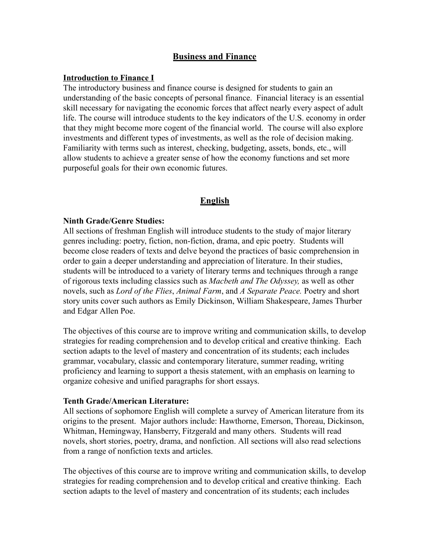# **Business and Finance**

#### **Introduction to Finance I**

The introductory business and finance course is designed for students to gain an understanding of the basic concepts of personal finance. Financial literacy is an essential skill necessary for navigating the economic forces that affect nearly every aspect of adult life. The course will introduce students to the key indicators of the U.S. economy in order that they might become more cogent of the financial world. The course will also explore investments and different types of investments, as well as the role of decision making. Familiarity with terms such as interest, checking, budgeting, assets, bonds, etc., will allow students to achieve a greater sense of how the economy functions and set more purposeful goals for their own economic futures.

#### **English**

#### **Ninth Grade/Genre Studies:**

All sections of freshman English will introduce students to the study of major literary genres including: poetry, fiction, non-fiction, drama, and epic poetry. Students will become close readers of texts and delve beyond the practices of basic comprehension in order to gain a deeper understanding and appreciation of literature. In their studies, students will be introduced to a variety of literary terms and techniques through a range of rigorous texts including classics such as *Macbeth and The Odyssey,* as well as other novels, such as *Lord of the Flies* , *Animal Farm* , and *A Separate Peace.* Poetry and short story units cover such authors as Emily Dickinson, William Shakespeare, James Thurber and Edgar Allen Poe.

The objectives of this course are to improve writing and communication skills, to develop strategies for reading comprehension and to develop critical and creative thinking. Each section adapts to the level of mastery and concentration of its students; each includes grammar, vocabulary, classic and contemporary literature, summer reading, writing proficiency and learning to support a thesis statement, with an emphasis on learning to organize cohesive and unified paragraphs for short essays.

#### **Tenth Grade/American Literature:**

All sections of sophomore English will complete a survey of American literature from its origins to the present. Major authors include: Hawthorne, Emerson, Thoreau, Dickinson, Whitman, Hemingway, Hansberry, Fitzgerald and many others. Students will read novels, short stories, poetry, drama, and nonfiction. All sections will also read selections from a range of nonfiction texts and articles.

The objectives of this course are to improve writing and communication skills, to develop strategies for reading comprehension and to develop critical and creative thinking. Each section adapts to the level of mastery and concentration of its students; each includes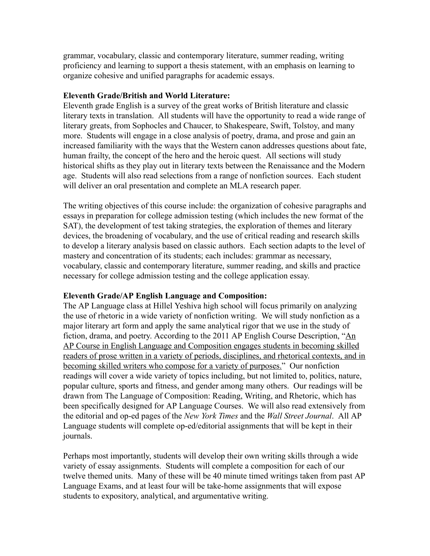grammar, vocabulary, classic and contemporary literature, summer reading, writing proficiency and learning to support a thesis statement, with an emphasis on learning to organize cohesive and unified paragraphs for academic essays.

#### **Eleventh Grade/British and World Literature:**

Eleventh grade English is a survey of the great works of British literature and classic literary texts in translation. All students will have the opportunity to read a wide range of literary greats, from Sophocles and Chaucer, to Shakespeare, Swift, Tolstoy, and many more. Students will engage in a close analysis of poetry, drama, and prose and gain an increased familiarity with the ways that the Western canon addresses questions about fate, human frailty, the concept of the hero and the heroic quest. All sections will study historical shifts as they play out in literary texts between the Renaissance and the Modern age. Students will also read selections from a range of nonfiction sources. Each student will deliver an oral presentation and complete an MLA research paper.

The writing objectives of this course include: the organization of cohesive paragraphs and essays in preparation for college admission testing (which includes the new format of the SAT), the development of test taking strategies, the exploration of themes and literary devices, the broadening of vocabulary, and the use of critical reading and research skills to develop a literary analysis based on classic authors. Each section adapts to the level of mastery and concentration of its students; each includes: grammar as necessary, vocabulary, classic and contemporary literature, summer reading, and skills and practice necessary for college admission testing and the college application essay.

#### **Eleventh Grade/AP English Language and Composition:**

The AP Language class at Hillel Yeshiva high school will focus primarily on analyzing the use of rhetoric in a wide variety of nonfiction writing. We will study nonfiction as a major literary art form and apply the same analytical rigor that we use in the study of fiction, drama, and poetry. According to the 2011 AP English Course Description, "An AP Course in English Language and Composition engages students in becoming skilled readers of prose written in a variety of periods, disciplines, and rhetorical contexts, and in becoming skilled writers who compose for a variety of purposes." Our nonfiction readings will cover a wide variety of topics including, but not limited to, politics, nature, popular culture, sports and fitness, and gender among many others. Our readings will be drawn from The Language of Composition: Reading, Writing, and Rhetoric, which has been specifically designed for AP Language Courses. We will also read extensively from the editorial and op-ed pages of the *New York Times* and the *Wall Street Journal* . All AP Language students will complete op-ed/editorial assignments that will be kept in their journals.

Perhaps most importantly, students will develop their own writing skills through a wide variety of essay assignments. Students will complete a composition for each of our twelve themed units. Many of these will be 40 minute timed writings taken from past AP Language Exams, and at least four will be take-home assignments that will expose students to expository, analytical, and argumentative writing.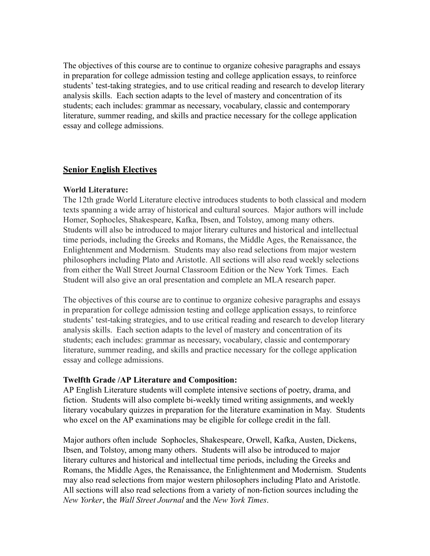The objectives of this course are to continue to organize cohesive paragraphs and essays in preparation for college admission testing and college application essays, to reinforce students' test-taking strategies, and to use critical reading and research to develop literary analysis skills. Each section adapts to the level of mastery and concentration of its students; each includes: grammar as necessary, vocabulary, classic and contemporary literature, summer reading, and skills and practice necessary for the college application essay and college admissions.

# **Senior English Electives**

#### **World Literature:**

The 12th grade World Literature elective introduces students to both classical and modern texts spanning a wide array of historical and cultural sources. Major authors will include Homer, Sophocles, Shakespeare, Kafka, Ibsen, and Tolstoy, among many others. Students will also be introduced to major literary cultures and historical and intellectual time periods, including the Greeks and Romans, the Middle Ages, the Renaissance, the Enlightenment and Modernism. Students may also read selections from major western philosophers including Plato and Aristotle. All sections will also read weekly selections from either the Wall Street Journal Classroom Edition or the New York Times. Each Student will also give an oral presentation and complete an MLA research paper.

The objectives of this course are to continue to organize cohesive paragraphs and essays in preparation for college admission testing and college application essays, to reinforce students' test-taking strategies, and to use critical reading and research to develop literary analysis skills. Each section adapts to the level of mastery and concentration of its students; each includes: grammar as necessary, vocabulary, classic and contemporary literature, summer reading, and skills and practice necessary for the college application essay and college admissions.

#### **Twelfth Grade /AP Literature and Composition:**

AP English Literature students will complete intensive sections of poetry, drama, and fiction. Students will also complete bi-weekly timed writing assignments, and weekly literary vocabulary quizzes in preparation for the literature examination in May. Students who excel on the AP examinations may be eligible for college credit in the fall.

Major authors often include Sophocles, Shakespeare, Orwell, Kafka, Austen, Dickens, Ibsen, and Tolstoy, among many others. Students will also be introduced to major literary cultures and historical and intellectual time periods, including the Greeks and Romans, the Middle Ages, the Renaissance, the Enlightenment and Modernism. Students may also read selections from major western philosophers including Plato and Aristotle. All sections will also read selections from a variety of non-fiction sources including the *New Yorker* , the *Wall Street Journal* and the *New York Times* .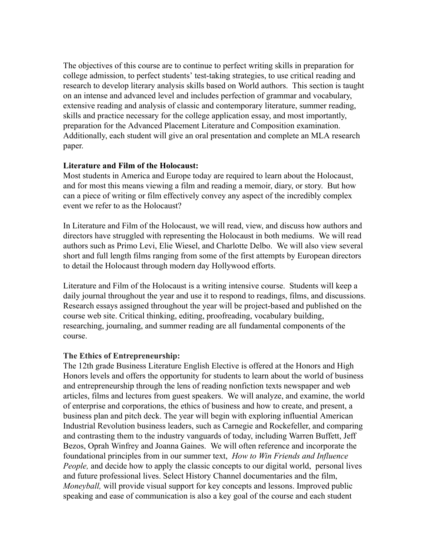The objectives of this course are to continue to perfect writing skills in preparation for college admission, to perfect students' test-taking strategies, to use critical reading and research to develop literary analysis skills based on World authors. This section is taught on an intense and advanced level and includes perfection of grammar and vocabulary, extensive reading and analysis of classic and contemporary literature, summer reading, skills and practice necessary for the college application essay, and most importantly, preparation for the Advanced Placement Literature and Composition examination. Additionally, each student will give an oral presentation and complete an MLA research paper.

#### **Literature and Film of the Holocaust:**

Most students in America and Europe today are required to learn about the Holocaust, and for most this means viewing a film and reading a memoir, diary, or story. But how can a piece of writing or film effectively convey any aspect of the incredibly complex event we refer to as the Holocaust?

In Literature and Film of the Holocaust, we will read, view, and discuss how authors and directors have struggled with representing the Holocaust in both mediums. We will read authors such as Primo Levi, Elie Wiesel, and Charlotte Delbo. We will also view several short and full length films ranging from some of the first attempts by European directors to detail the Holocaust through modern day Hollywood efforts.

Literature and Film of the Holocaust is a writing intensive course. Students will keep a daily journal throughout the year and use it to respond to readings, films, and discussions. Research essays assigned throughout the year will be project-based and published on the course web site. Critical thinking, editing, proofreading, vocabulary building, researching, journaling, and summer reading are all fundamental components of the course.

#### **The Ethics of Entrepreneurship:**

The 12th grade Business Literature English Elective is offered at the Honors and High Honors levels and offers the opportunity for students to learn about the world of business and entrepreneurship through the lens of reading nonfiction texts newspaper and web articles, films and lectures from guest speakers. We will analyze, and examine, the world of enterprise and corporations, the ethics of business and how to create, and present, a business plan and pitch deck. The year will begin with exploring influential American Industrial Revolution business leaders, such as Carnegie and Rockefeller, and comparing and contrasting them to the industry vanguards of today, including Warren Buffett, Jeff Bezos, Oprah Winfrey and Joanna Gaines. We will often reference and incorporate the foundational principles from in our summer text, *How to Win Friends and Influence People*, and decide how to apply the classic concepts to our digital world, personal lives and future professional lives. Select History Channel documentaries and the film, *Moneyball,* will provide visual support for key concepts and lessons. Improved public speaking and ease of communication is also a key goal of the course and each student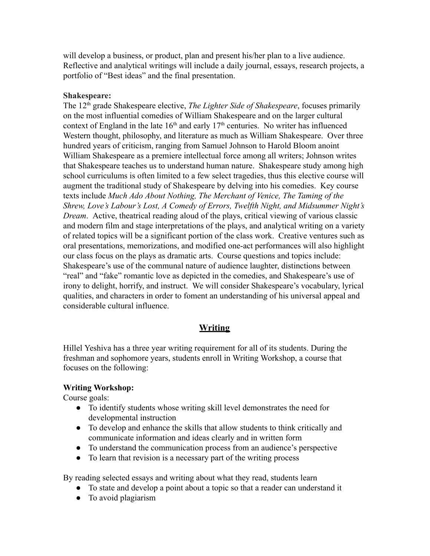will develop a business, or product, plan and present his/her plan to a live audience. Reflective and analytical writings will include a daily journal, essays, research projects, a portfolio of "Best ideas" and the final presentation.

#### **Shakespeare:**

The 12<sup>th</sup> grade Shakespeare elective, *The Lighter Side of Shakespeare*, focuses primarily on the most influential comedies of William Shakespeare and on the larger cultural context of England in the late  $16<sup>th</sup>$  and early  $17<sup>th</sup>$  centuries. No writer has influenced Western thought, philosophy, and literature as much as William Shakespeare. Over three hundred years of criticism, ranging from Samuel Johnson to Harold Bloom anoint William Shakespeare as a premiere intellectual force among all writers; Johnson writes that Shakespeare teaches us to understand human nature. Shakespeare study among high school curriculums is often limited to a few select tragedies, thus this elective course will augment the traditional study of Shakespeare by delving into his comedies. Key course texts include *Much Ado About Nothing, The Merchant of Venice, The Taming of the Shrew, Love's Labour's Lost, A Comedy of Errors, Twelfth Night, and Midsummer Night's Dream.* Active, theatrical reading aloud of the plays, critical viewing of various classic and modern film and stage interpretations of the plays, and analytical writing on a variety of related topics will be a significant portion of the class work. Creative ventures such as oral presentations, memorizations, and modified one-act performances will also highlight our class focus on the plays as dramatic arts. Course questions and topics include: Shakespeare's use of the communal nature of audience laughter, distinctions between "real" and "fake" romantic love as depicted in the comedies, and Shakespeare's use of irony to delight, horrify, and instruct. We will consider Shakespeare's vocabulary, lyrical qualities, and characters in order to foment an understanding of his universal appeal and considerable cultural influence.

# **Writing**

Hillel Yeshiva has a three year writing requirement for all of its students. During the freshman and sophomore years, students enroll in Writing Workshop, a course that focuses on the following:

#### **Writing Workshop:**

Course goals:

- To identify students whose writing skill level demonstrates the need for developmental instruction
- To develop and enhance the skills that allow students to think critically and communicate information and ideas clearly and in written form
- To understand the communication process from an audience's perspective
- To learn that revision is a necessary part of the writing process

By reading selected essays and writing about what they read, students learn

- To state and develop a point about a topic so that a reader can understand it
- To avoid plagiarism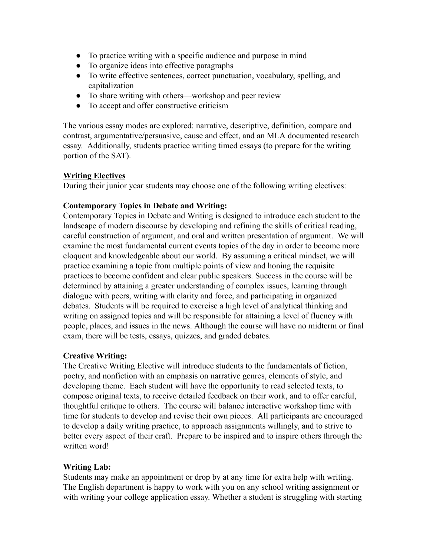- To practice writing with a specific audience and purpose in mind
- To organize ideas into effective paragraphs
- To write effective sentences, correct punctuation, vocabulary, spelling, and capitalization
- To share writing with others—workshop and peer review
- To accept and offer constructive criticism

The various essay modes are explored: narrative, descriptive, definition, compare and contrast, argumentative/persuasive, cause and effect, and an MLA documented research essay. Additionally, students practice writing timed essays (to prepare for the writing portion of the SAT).

# **Writing Electives**

During their junior year students may choose one of the following writing electives:

# **Contemporary Topics in Debate and Writing:**

Contemporary Topics in Debate and Writing is designed to introduce each student to the landscape of modern discourse by developing and refining the skills of critical reading, careful construction of argument, and oral and written presentation of argument. We will examine the most fundamental current events topics of the day in order to become more eloquent and knowledgeable about our world. By assuming a critical mindset, we will practice examining a topic from multiple points of view and honing the requisite practices to become confident and clear public speakers. Success in the course will be determined by attaining a greater understanding of complex issues, learning through dialogue with peers, writing with clarity and force, and participating in organized debates. Students will be required to exercise a high level of analytical thinking and writing on assigned topics and will be responsible for attaining a level of fluency with people, places, and issues in the news. Although the course will have no midterm or final exam, there will be tests, essays, quizzes, and graded debates.

# **Creative Writing:**

The Creative Writing Elective will introduce students to the fundamentals of fiction, poetry, and nonfiction with an emphasis on narrative genres, elements of style, and developing theme. Each student will have the opportunity to read selected texts, to compose original texts, to receive detailed feedback on their work, and to offer careful, thoughtful critique to others. The course will balance interactive workshop time with time for students to develop and revise their own pieces. All participants are encouraged to develop a daily writing practice, to approach assignments willingly, and to strive to better every aspect of their craft. Prepare to be inspired and to inspire others through the written word!

# **Writing Lab:**

Students may make an appointment or drop by at any time for extra help with writing. The English department is happy to work with you on any school writing assignment or with writing your college application essay. Whether a student is struggling with starting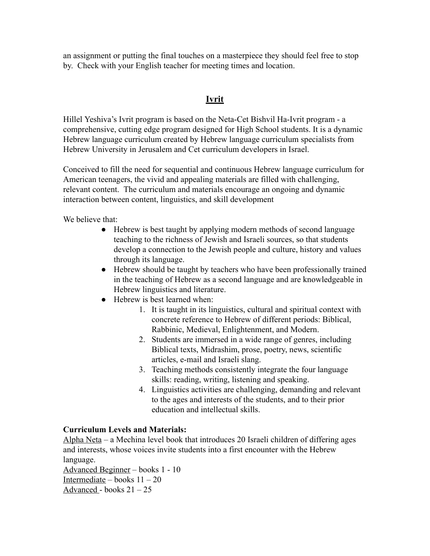an assignment or putting the final touches on a masterpiece they should feel free to stop by. Check with your English teacher for meeting times and location.

# **Ivrit**

Hillel Yeshiva's Ivrit program is based on the Neta-Cet Bishvil Ha-Ivrit program - a comprehensive, cutting edge program designed for High School students. It is a dynamic Hebrew language curriculum created by Hebrew language curriculum specialists from Hebrew University in Jerusalem and Cet curriculum developers in Israel.

Conceived to fill the need for sequential and continuous Hebrew language curriculum for American teenagers, the vivid and appealing materials are filled with challenging, relevant content. The curriculum and materials encourage an ongoing and dynamic interaction between content, linguistics, and skill development

We believe that:

- Hebrew is best taught by applying modern methods of second language teaching to the richness of Jewish and Israeli sources, so that students develop a connection to the Jewish people and culture, history and values through its language.
- Hebrew should be taught by teachers who have been professionally trained in the teaching of Hebrew as a second language and are knowledgeable in Hebrew linguistics and literature.
- Hebrew is best learned when:
	- 1. It is taught in its linguistics, cultural and spiritual context with concrete reference to Hebrew of different periods: Biblical, Rabbinic, Medieval, Enlightenment, and Modern.
	- 2. Students are immersed in a wide range of genres, including Biblical texts, Midrashim, prose, poetry, news, scientific articles, e-mail and Israeli slang.
	- 3. Teaching methods consistently integrate the four language skills: reading, writing, listening and speaking.
	- 4. Linguistics activities are challenging, demanding and relevant to the ages and interests of the students, and to their prior education and intellectual skills.

#### **Curriculum Levels and Materials:**

Alpha Neta – a Mechina level book that introduces 20 Israeli children of differing ages and interests, whose voices invite students into a first encounter with the Hebrew language.

Advanced Beginner – books 1 - 10 Intermediate – books  $11 - 20$ Advanced - books 21 – 25